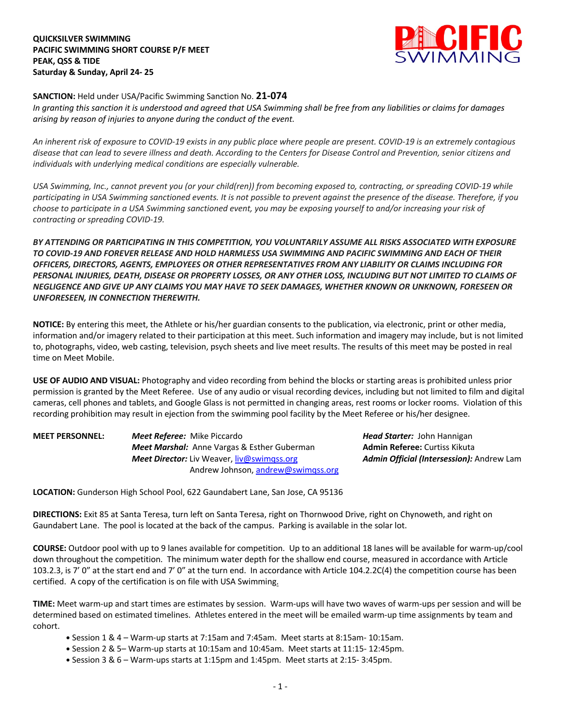**QUICKSILVER SWIMMING PACIFIC SWIMMING SHORT COURSE P/F MEET PEAK, QSS & TIDE Saturday & Sunday, April 24- 25**



**SANCTION:** Held under USA/Pacific Swimming Sanction No. **21-074**

*In granting this sanction it is understood and agreed that USA Swimming shall be free from any liabilities or claims for damages arising by reason of injuries to anyone during the conduct of the event.* 

*An inherent risk of exposure to COVID-19 exists in any public place where people are present. COVID-19 is an extremely contagious disease that can lead to severe illness and death. According to the Centers for Disease Control and Prevention, senior citizens and individuals with underlying medical conditions are especially vulnerable.*

*USA Swimming, Inc., cannot prevent you (or your child(ren)) from becoming exposed to, contracting, or spreading COVID-19 while participating in USA Swimming sanctioned events. It is not possible to prevent against the presence of the disease. Therefore, if you choose to participate in a USA Swimming sanctioned event, you may be exposing yourself to and/or increasing your risk of contracting or spreading COVID-19.*

*BY ATTENDING OR PARTICIPATING IN THIS COMPETITION, YOU VOLUNTARILY ASSUME ALL RISKS ASSOCIATED WITH EXPOSURE TO COVID-19 AND FOREVER RELEASE AND HOLD HARMLESS USA SWIMMING AND PACIFIC SWIMMING AND EACH OF THEIR OFFICERS, DIRECTORS, AGENTS, EMPLOYEES OR OTHER REPRESENTATIVES FROM ANY LIABILITY OR CLAIMS INCLUDING FOR PERSONAL INJURIES, DEATH, DISEASE OR PROPERTY LOSSES, OR ANY OTHER LOSS, INCLUDING BUT NOT LIMITED TO CLAIMS OF NEGLIGENCE AND GIVE UP ANY CLAIMS YOU MAY HAVE TO SEEK DAMAGES, WHETHER KNOWN OR UNKNOWN, FORESEEN OR UNFORESEEN, IN CONNECTION THEREWITH.*

**NOTICE:** By entering this meet, the Athlete or his/her guardian consents to the publication, via electronic, print or other media, information and/or imagery related to their participation at this meet. Such information and imagery may include, but is not limited to, photographs, video, web casting, television, psych sheets and live meet results. The results of this meet may be posted in real time on Meet Mobile.

**USE OF AUDIO AND VISUAL:** Photography and video recording from behind the blocks or starting areas is prohibited unless prior permission is granted by the Meet Referee. Use of any audio or visual recording devices, including but not limited to film and digital cameras, cell phones and tablets, and Google Glass is not permitted in changing areas, rest rooms or locker rooms. Violation of this recording prohibition may result in ejection from the swimming pool facility by the Meet Referee or his/her designee.

| <b>MEET PERSONNEL:</b> | <b>Meet Referee:</b> Mike Piccardo                 | <b>Head Starter: John Hannigan</b>        |  |
|------------------------|----------------------------------------------------|-------------------------------------------|--|
|                        | <b>Meet Marshal:</b> Anne Vargas & Esther Guberman | <b>Admin Referee:</b> Curtiss Kikuta      |  |
|                        | <b>Meet Director:</b> Liv Weaver, liv@swimgss.org  | Admin Official (Intersession): Andrew Lam |  |
|                        | Andrew Johnson, andrew@swimgss.org                 |                                           |  |

**LOCATION:** Gunderson High School Pool, 622 Gaundabert Lane, San Jose, CA 95136

**DIRECTIONS:** Exit 85 at Santa Teresa, turn left on Santa Teresa, right on Thornwood Drive, right on Chynoweth, and right on Gaundabert Lane. The pool is located at the back of the campus. Parking is available in the solar lot.

**COURSE:** Outdoor pool with up to 9 lanes available for competition. Up to an additional 18 lanes will be available for warm-up/cool down throughout the competition. The minimum water depth for the shallow end course, measured in accordance with Article 103.2.3, is 7' 0" at the start end and 7' 0" at the turn end. In accordance with Article 104.2.2C(4) the competition course has been certified. A copy of the certification is on file with USA Swimming.

**TIME:** Meet warm-up and start times are estimates by session. Warm-ups will have two waves of warm-ups per session and will be determined based on estimated timelines. Athletes entered in the meet will be emailed warm-up time assignments by team and cohort.

- **•** Session 1 & 4 Warm-up starts at 7:15am and 7:45am. Meet starts at 8:15am- 10:15am.
- **•** Session 2 & 5– Warm-up starts at 10:15am and 10:45am. Meet starts at 11:15- 12:45pm.
- **•** Session 3 & 6 Warm-ups starts at 1:15pm and 1:45pm. Meet starts at 2:15- 3:45pm.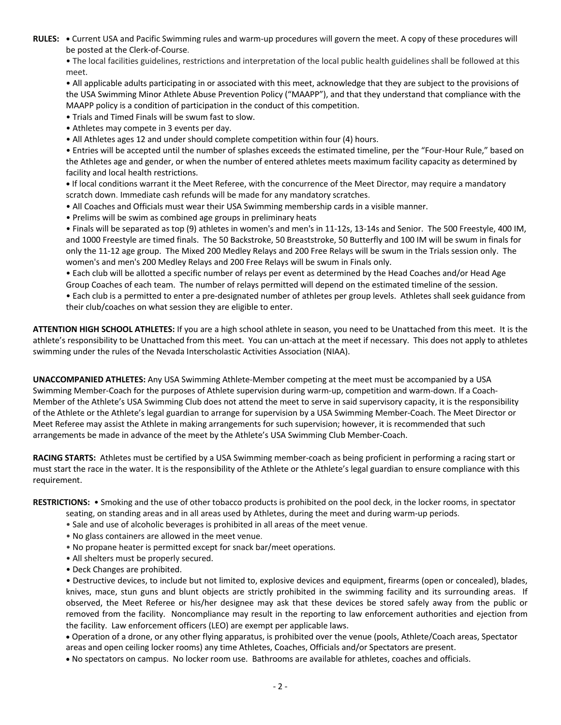**RULES: •** Current USA and Pacific Swimming rules and warm-up procedures will govern the meet. A copy of these procedures will be posted at the Clerk-of-Course.

• The local facilities guidelines, restrictions and interpretation of the local public health guidelines shall be followed at this meet.

• All applicable adults participating in or associated with this meet, acknowledge that they are subject to the provisions of the USA Swimming Minor Athlete Abuse Prevention Policy ("MAAPP"), and that they understand that compliance with the MAAPP policy is a condition of participation in the conduct of this competition.

• Trials and Timed Finals will be swum fast to slow.

- Athletes may compete in 3 events per day.
- All Athletes ages 12 and under should complete competition within four (4) hours.

• Entries will be accepted until the number of splashes exceeds the estimated timeline, per the "Four-Hour Rule," based on the Athletes age and gender, or when the number of entered athletes meets maximum facility capacity as determined by facility and local health restrictions.

**•** If local conditions warrant it the Meet Referee, with the concurrence of the Meet Director, may require a mandatory scratch down. Immediate cash refunds will be made for any mandatory scratches.

- All Coaches and Officials must wear their USA Swimming membership cards in a visible manner.
- Prelims will be swim as combined age groups in preliminary heats

• Finals will be separated as top (9) athletes in women's and men's in 11-12s, 13-14s and Senior. The 500 Freestyle, 400 IM, and 1000 Freestyle are timed finals. The 50 Backstroke, 50 Breaststroke, 50 Butterfly and 100 IM will be swum in finals for only the 11-12 age group. The Mixed 200 Medley Relays and 200 Free Relays will be swum in the Trials session only. The women's and men's 200 Medley Relays and 200 Free Relays will be swum in Finals only.

• Each club will be allotted a specific number of relays per event as determined by the Head Coaches and/or Head Age Group Coaches of each team. The number of relays permitted will depend on the estimated timeline of the session.

• Each club is a permitted to enter a pre-designated number of athletes per group levels. Athletes shall seek guidance from their club/coaches on what session they are eligible to enter.

**ATTENTION HIGH SCHOOL ATHLETES:** If you are a high school athlete in season, you need to be Unattached from this meet. It is the athlete's responsibility to be Unattached from this meet. You can un-attach at the meet if necessary. This does not apply to athletes swimming under the rules of the Nevada Interscholastic Activities Association (NIAA).

**UNACCOMPANIED ATHLETES:** Any USA Swimming Athlete-Member competing at the meet must be accompanied by a USA Swimming Member-Coach for the purposes of Athlete supervision during warm-up, competition and warm-down. If a Coach-Member of the Athlete's USA Swimming Club does not attend the meet to serve in said supervisory capacity, it is the responsibility of the Athlete or the Athlete's legal guardian to arrange for supervision by a USA Swimming Member-Coach. The Meet Director or Meet Referee may assist the Athlete in making arrangements for such supervision; however, it is recommended that such arrangements be made in advance of the meet by the Athlete's USA Swimming Club Member-Coach.

**RACING STARTS:** Athletes must be certified by a USA Swimming member-coach as being proficient in performing a racing start or must start the race in the water. It is the responsibility of the Athlete or the Athlete's legal guardian to ensure compliance with this requirement.

**RESTRICTIONS:** • Smoking and the use of other tobacco products is prohibited on the pool deck, in the locker rooms, in spectator

- seating, on standing areas and in all areas used by Athletes, during the meet and during warm-up periods.
- Sale and use of alcoholic beverages is prohibited in all areas of the meet venue.
- No glass containers are allowed in the meet venue.
- No propane heater is permitted except for snack bar/meet operations.
- All shelters must be properly secured.
- Deck Changes are prohibited.

• Destructive devices, to include but not limited to, explosive devices and equipment, firearms (open or concealed), blades, knives, mace, stun guns and blunt objects are strictly prohibited in the swimming facility and its surrounding areas. If observed, the Meet Referee or his/her designee may ask that these devices be stored safely away from the public or removed from the facility. Noncompliance may result in the reporting to law enforcement authorities and ejection from the facility. Law enforcement officers (LEO) are exempt per applicable laws.

• Operation of a drone, or any other flying apparatus, is prohibited over the venue (pools, Athlete/Coach areas, Spectator areas and open ceiling locker rooms) any time Athletes, Coaches, Officials and/or Spectators are present.

• No spectators on campus. No locker room use. Bathrooms are available for athletes, coaches and officials.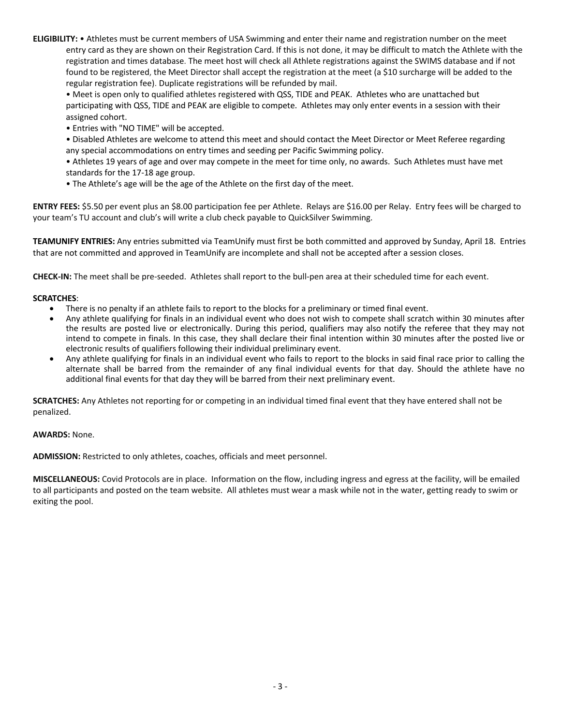**ELIGIBILITY:** • Athletes must be current members of USA Swimming and enter their name and registration number on the meet entry card as they are shown on their Registration Card. If this is not done, it may be difficult to match the Athlete with the registration and times database. The meet host will check all Athlete registrations against the SWIMS database and if not found to be registered, the Meet Director shall accept the registration at the meet (a \$10 surcharge will be added to the regular registration fee). Duplicate registrations will be refunded by mail.

• Meet is open only to qualified athletes registered with QSS, TIDE and PEAK. Athletes who are unattached but participating with QSS, TIDE and PEAK are eligible to compete. Athletes may only enter events in a session with their assigned cohort.

• Entries with "NO TIME" will be accepted.

• Disabled Athletes are welcome to attend this meet and should contact the Meet Director or Meet Referee regarding any special accommodations on entry times and seeding per Pacific Swimming policy.

• Athletes 19 years of age and over may compete in the meet for time only, no awards. Such Athletes must have met standards for the 17-18 age group.

• The Athlete's age will be the age of the Athlete on the first day of the meet.

**ENTRY FEES:** \$5.50 per event plus an \$8.00 participation fee per Athlete. Relays are \$16.00 per Relay. Entry fees will be charged to your team's TU account and club's will write a club check payable to QuickSilver Swimming.

**TEAMUNIFY ENTRIES:** Any entries submitted via TeamUnify must first be both committed and approved by Sunday, April 18.Entries that are not committed and approved in TeamUnify are incomplete and shall not be accepted after a session closes.

**CHECK-IN:** The meet shall be pre-seeded. Athletes shall report to the bull-pen area at their scheduled time for each event.

## **SCRATCHES**:

- There is no penalty if an athlete fails to report to the blocks for a preliminary or timed final event.
- Any athlete qualifying for finals in an individual event who does not wish to compete shall scratch within 30 minutes after the results are posted live or electronically. During this period, qualifiers may also notify the referee that they may not intend to compete in finals. In this case, they shall declare their final intention within 30 minutes after the posted live or electronic results of qualifiers following their individual preliminary event.
- Any athlete qualifying for finals in an individual event who fails to report to the blocks in said final race prior to calling the alternate shall be barred from the remainder of any final individual events for that day. Should the athlete have no additional final events for that day they will be barred from their next preliminary event.

**SCRATCHES:** Any Athletes not reporting for or competing in an individual timed final event that they have entered shall not be penalized.

**AWARDS:** None.

**ADMISSION:** Restricted to only athletes, coaches, officials and meet personnel.

**MISCELLANEOUS:** Covid Protocols are in place. Information on the flow, including ingress and egress at the facility, will be emailed to all participants and posted on the team website. All athletes must wear a mask while not in the water, getting ready to swim or exiting the pool.